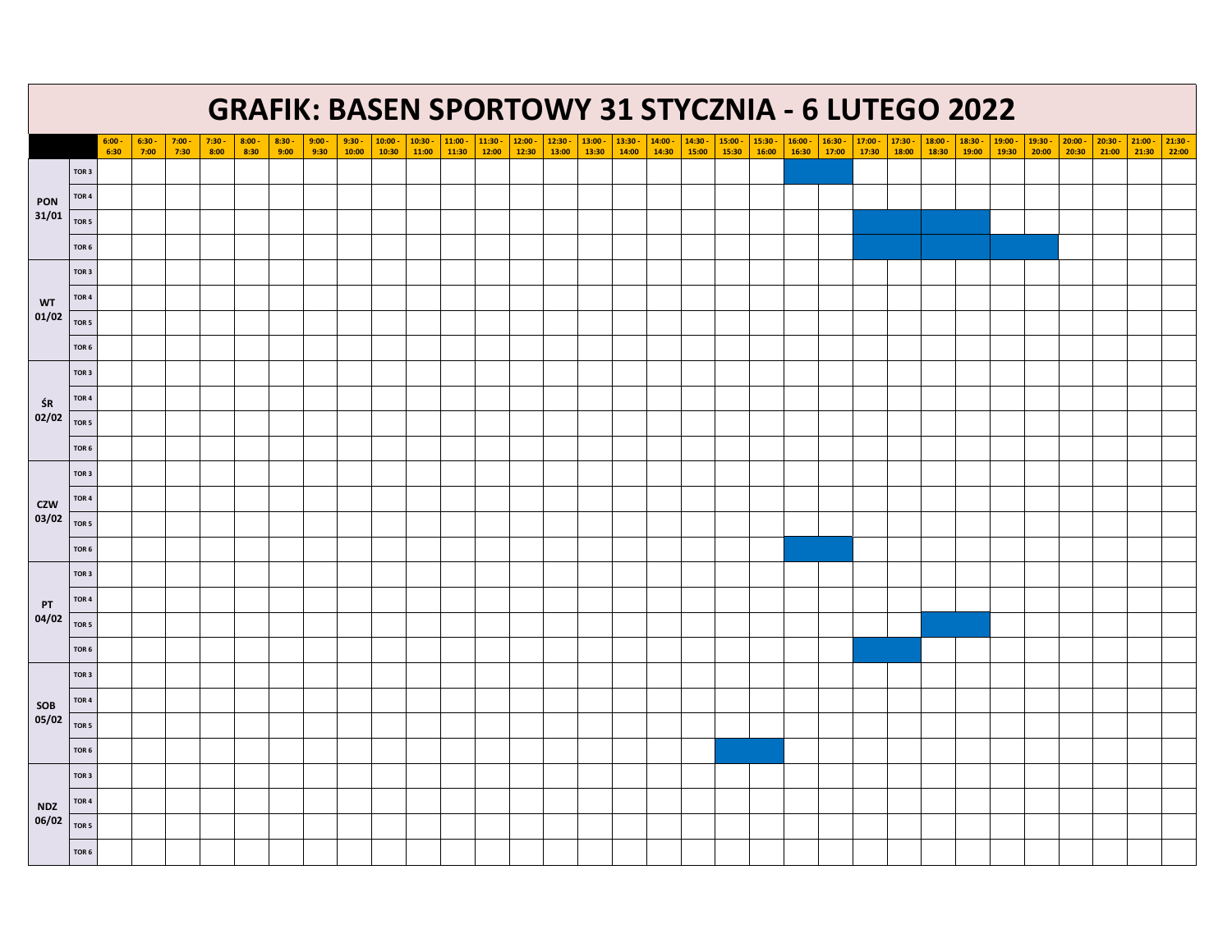